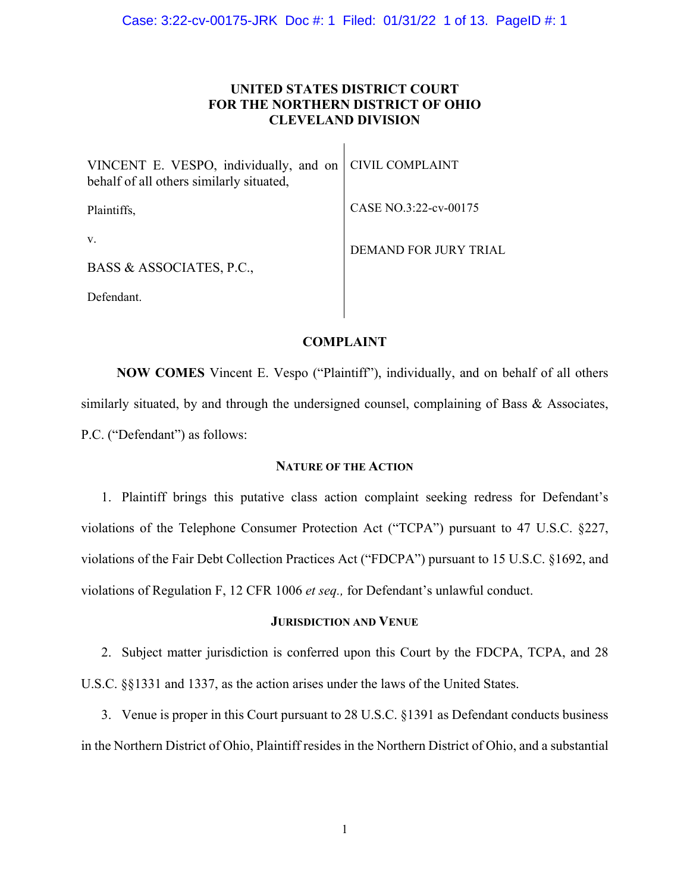# **UNITED STATES DISTRICT COURT FOR THE NORTHERN DISTRICT OF OHIO CLEVELAND DIVISION**

 $\overline{1}$ 

| VINCENT E. VESPO, individually, and on<br>behalf of all others similarly situated, | <b>CIVIL COMPLAINT</b> |
|------------------------------------------------------------------------------------|------------------------|
| Plaintiffs,                                                                        | CASE NO.3:22-cv-00175  |
| V.                                                                                 | DEMAND FOR JURY TRIAL  |
| BASS & ASSOCIATES, P.C.,                                                           |                        |
| Defendant.                                                                         |                        |

# **COMPLAINT**

**NOW COMES** Vincent E. Vespo ("Plaintiff"), individually, and on behalf of all others similarly situated, by and through the undersigned counsel, complaining of Bass & Associates, P.C. ("Defendant") as follows:

# **NATURE OF THE ACTION**

1. Plaintiff brings this putative class action complaint seeking redress for Defendant's violations of the Telephone Consumer Protection Act ("TCPA") pursuant to 47 U.S.C. §227, violations of the Fair Debt Collection Practices Act ("FDCPA") pursuant to 15 U.S.C. §1692, and violations of Regulation F, 12 CFR 1006 *et seq.,* for Defendant's unlawful conduct.

### **JURISDICTION AND VENUE**

2. Subject matter jurisdiction is conferred upon this Court by the FDCPA, TCPA, and 28 U.S.C. §§1331 and 1337, as the action arises under the laws of the United States.

3. Venue is proper in this Court pursuant to 28 U.S.C. §1391 as Defendant conducts business in the Northern District of Ohio, Plaintiff resides in the Northern District of Ohio, and a substantial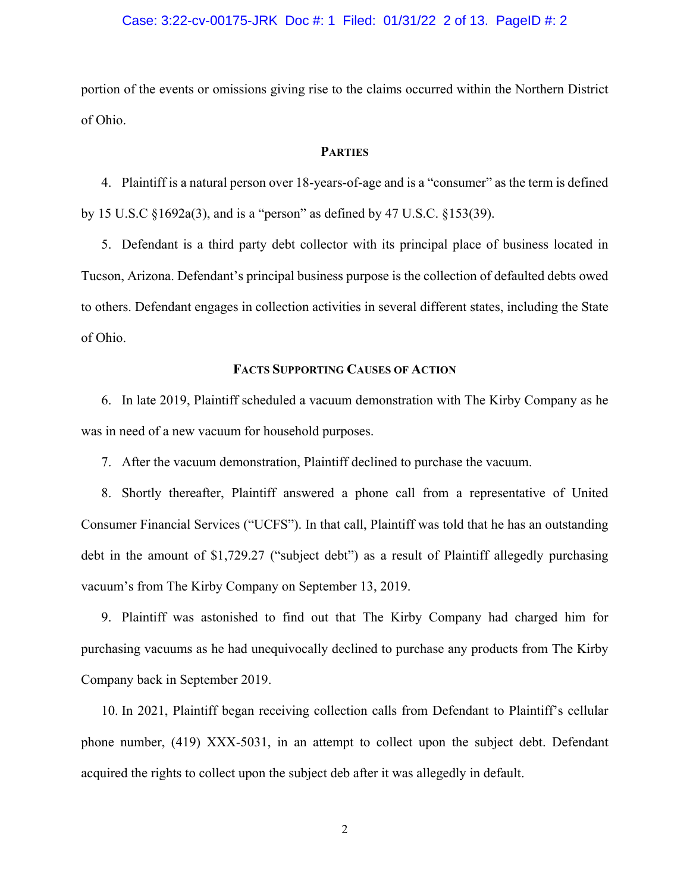# Case: 3:22-cv-00175-JRK Doc #: 1 Filed: 01/31/22 2 of 13. PageID #: 2

portion of the events or omissions giving rise to the claims occurred within the Northern District of Ohio.

### **PARTIES**

4. Plaintiff is a natural person over 18-years-of-age and is a "consumer" as the term is defined by 15 U.S.C §1692a(3), and is a "person" as defined by 47 U.S.C. §153(39).

5. Defendant is a third party debt collector with its principal place of business located in Tucson, Arizona. Defendant's principal business purpose is the collection of defaulted debts owed to others. Defendant engages in collection activities in several different states, including the State of Ohio.

### **FACTS SUPPORTING CAUSES OF ACTION**

6. In late 2019, Plaintiff scheduled a vacuum demonstration with The Kirby Company as he was in need of a new vacuum for household purposes.

7. After the vacuum demonstration, Plaintiff declined to purchase the vacuum.

8. Shortly thereafter, Plaintiff answered a phone call from a representative of United Consumer Financial Services ("UCFS"). In that call, Plaintiff was told that he has an outstanding debt in the amount of \$1,729.27 ("subject debt") as a result of Plaintiff allegedly purchasing vacuum's from The Kirby Company on September 13, 2019.

9. Plaintiff was astonished to find out that The Kirby Company had charged him for purchasing vacuums as he had unequivocally declined to purchase any products from The Kirby Company back in September 2019.

10. In 2021, Plaintiff began receiving collection calls from Defendant to Plaintiff's cellular phone number, (419) XXX-5031, in an attempt to collect upon the subject debt. Defendant acquired the rights to collect upon the subject deb after it was allegedly in default.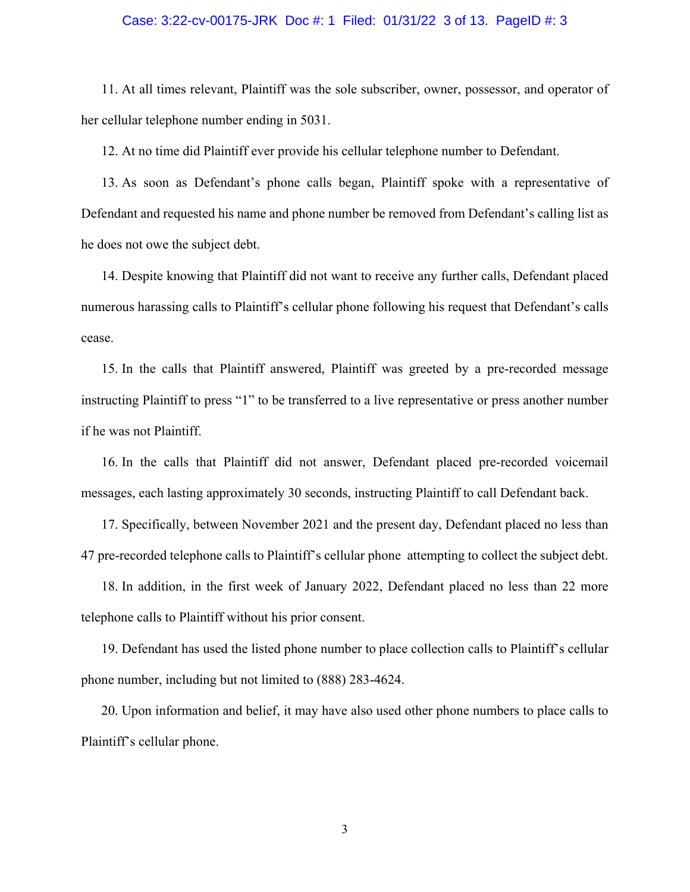#### Case: 3:22-cv-00175-JRK Doc #: 1 Filed: 01/31/22 3 of 13. PageID #: 3

11. At all times relevant, Plaintiff was the sole subscriber, owner, possessor, and operator of her cellular telephone number ending in 5031.

12. At no time did Plaintiff ever provide his cellular telephone number to Defendant.

13. As soon as Defendant's phone calls began, Plaintiff spoke with a representative of Defendant and requested his name and phone number be removed from Defendant's calling list as he does not owe the subject debt.

14. Despite knowing that Plaintiff did not want to receive any further calls, Defendant placed numerous harassing calls to Plaintiff's cellular phone following his request that Defendant's calls cease.

15. In the calls that Plaintiff answered, Plaintiff was greeted by a pre-recorded message instructing Plaintiff to press "1" to be transferred to a live representative or press another number if he was not Plaintiff.

16. In the calls that Plaintiff did not answer, Defendant placed pre-recorded voicemail messages, each lasting approximately 30 seconds, instructing Plaintiff to call Defendant back.

17. Specifically, between November 2021 and the present day, Defendant placed no less than 47 pre-recorded telephone calls to Plaintiff's cellular phone attempting to collect the subject debt.

18. In addition, in the first week of January 2022, Defendant placed no less than 22 more telephone calls to Plaintiff without his prior consent.

19. Defendant has used the listed phone number to place collection calls to Plaintiff's cellular phone number, including but not limited to (888) 283-4624.

20. Upon information and belief, it may have also used other phone numbers to place calls to Plaintiff's cellular phone.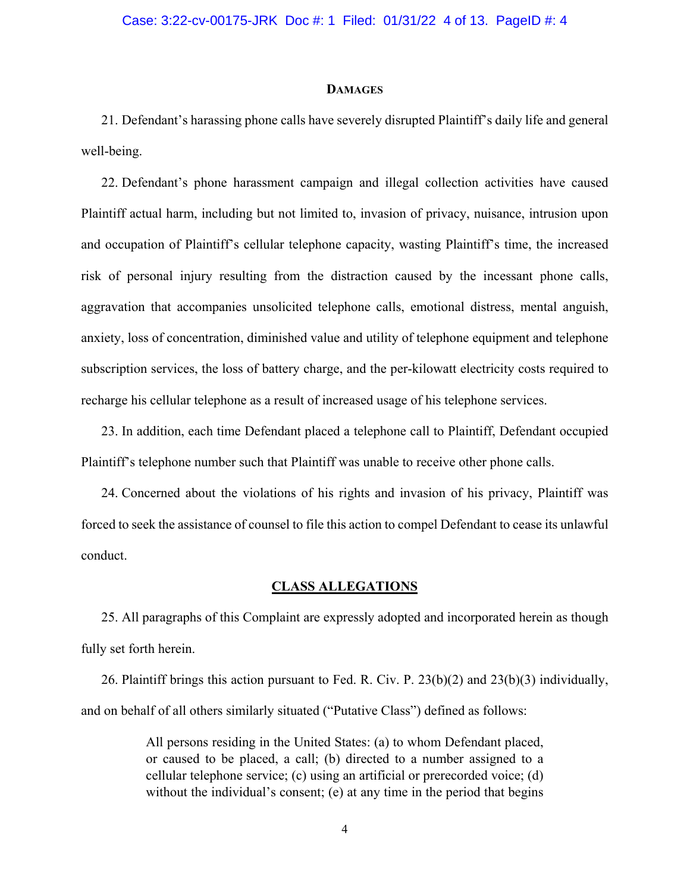### **DAMAGES**

21. Defendant's harassing phone calls have severely disrupted Plaintiff's daily life and general well-being.

22. Defendant's phone harassment campaign and illegal collection activities have caused Plaintiff actual harm, including but not limited to, invasion of privacy, nuisance, intrusion upon and occupation of Plaintiff's cellular telephone capacity, wasting Plaintiff's time, the increased risk of personal injury resulting from the distraction caused by the incessant phone calls, aggravation that accompanies unsolicited telephone calls, emotional distress, mental anguish, anxiety, loss of concentration, diminished value and utility of telephone equipment and telephone subscription services, the loss of battery charge, and the per-kilowatt electricity costs required to recharge his cellular telephone as a result of increased usage of his telephone services.

23. In addition, each time Defendant placed a telephone call to Plaintiff, Defendant occupied Plaintiff's telephone number such that Plaintiff was unable to receive other phone calls.

24. Concerned about the violations of his rights and invasion of his privacy, Plaintiff was forced to seek the assistance of counsel to file this action to compel Defendant to cease its unlawful conduct.

# **CLASS ALLEGATIONS**

25. All paragraphs of this Complaint are expressly adopted and incorporated herein as though fully set forth herein.

26. Plaintiff brings this action pursuant to Fed. R. Civ. P. 23(b)(2) and 23(b)(3) individually, and on behalf of all others similarly situated ("Putative Class") defined as follows:

> All persons residing in the United States: (a) to whom Defendant placed, or caused to be placed, a call; (b) directed to a number assigned to a cellular telephone service; (c) using an artificial or prerecorded voice; (d) without the individual's consent; (e) at any time in the period that begins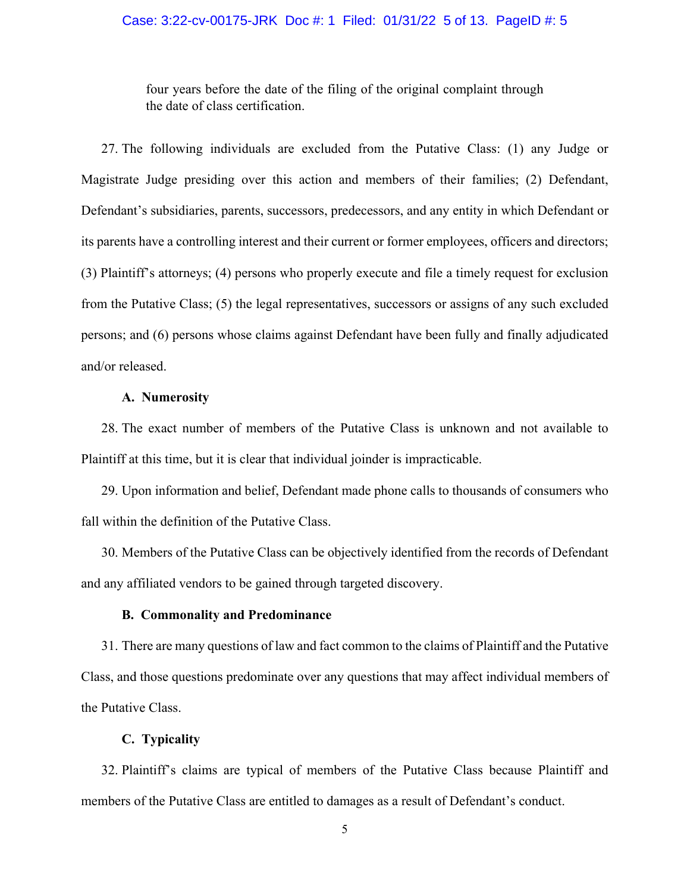# Case: 3:22-cv-00175-JRK Doc #: 1 Filed: 01/31/22 5 of 13. PageID #: 5

four years before the date of the filing of the original complaint through the date of class certification.

27. The following individuals are excluded from the Putative Class: (1) any Judge or Magistrate Judge presiding over this action and members of their families; (2) Defendant, Defendant's subsidiaries, parents, successors, predecessors, and any entity in which Defendant or its parents have a controlling interest and their current or former employees, officers and directors; (3) Plaintiff's attorneys; (4) persons who properly execute and file a timely request for exclusion from the Putative Class; (5) the legal representatives, successors or assigns of any such excluded persons; and (6) persons whose claims against Defendant have been fully and finally adjudicated and/or released.

# **A. Numerosity**

28. The exact number of members of the Putative Class is unknown and not available to Plaintiff at this time, but it is clear that individual joinder is impracticable.

29. Upon information and belief, Defendant made phone calls to thousands of consumers who fall within the definition of the Putative Class.

30. Members of the Putative Class can be objectively identified from the records of Defendant and any affiliated vendors to be gained through targeted discovery.

### **B. Commonality and Predominance**

31. There are many questions of law and fact common to the claims of Plaintiff and the Putative Class, and those questions predominate over any questions that may affect individual members of the Putative Class.

# **C. Typicality**

32. Plaintiff's claims are typical of members of the Putative Class because Plaintiff and members of the Putative Class are entitled to damages as a result of Defendant's conduct.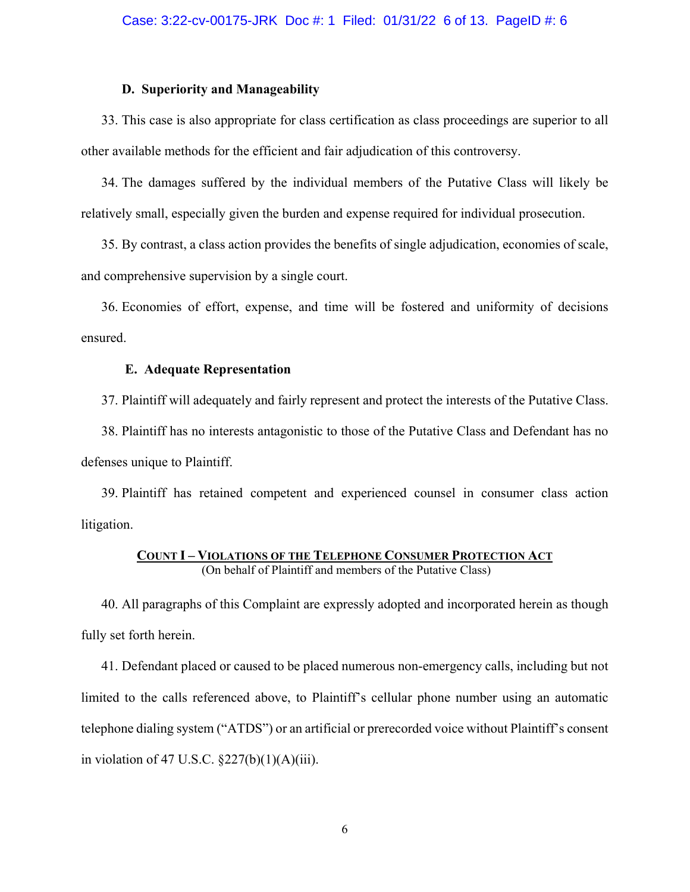#### **D. Superiority and Manageability**

33. This case is also appropriate for class certification as class proceedings are superior to all other available methods for the efficient and fair adjudication of this controversy.

34. The damages suffered by the individual members of the Putative Class will likely be relatively small, especially given the burden and expense required for individual prosecution.

35. By contrast, a class action provides the benefits of single adjudication, economies of scale, and comprehensive supervision by a single court.

36. Economies of effort, expense, and time will be fostered and uniformity of decisions ensured.

#### **E. Adequate Representation**

37. Plaintiff will adequately and fairly represent and protect the interests of the Putative Class.

38. Plaintiff has no interests antagonistic to those of the Putative Class and Defendant has no defenses unique to Plaintiff.

39. Plaintiff has retained competent and experienced counsel in consumer class action litigation.

# **COUNT I – VIOLATIONS OF THE TELEPHONE CONSUMER PROTECTION ACT**  (On behalf of Plaintiff and members of the Putative Class)

40. All paragraphs of this Complaint are expressly adopted and incorporated herein as though fully set forth herein.

41. Defendant placed or caused to be placed numerous non-emergency calls, including but not limited to the calls referenced above, to Plaintiff's cellular phone number using an automatic telephone dialing system ("ATDS") or an artificial or prerecorded voice without Plaintiff's consent in violation of 47 U.S.C.  $\S227(b)(1)(A)(iii)$ .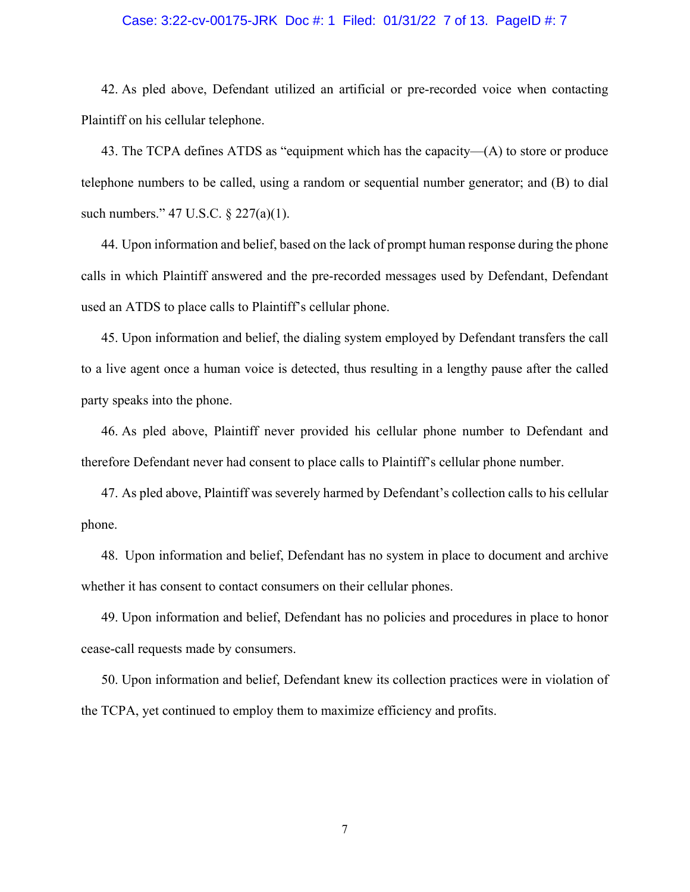#### Case: 3:22-cv-00175-JRK Doc #: 1 Filed: 01/31/22 7 of 13. PageID #: 7

42. As pled above, Defendant utilized an artificial or pre-recorded voice when contacting Plaintiff on his cellular telephone.

43. The TCPA defines ATDS as "equipment which has the capacity—(A) to store or produce telephone numbers to be called, using a random or sequential number generator; and (B) to dial such numbers." 47 U.S.C. § 227(a)(1).

44. Upon information and belief, based on the lack of prompt human response during the phone calls in which Plaintiff answered and the pre-recorded messages used by Defendant, Defendant used an ATDS to place calls to Plaintiff's cellular phone.

45. Upon information and belief, the dialing system employed by Defendant transfers the call to a live agent once a human voice is detected, thus resulting in a lengthy pause after the called party speaks into the phone.

46. As pled above, Plaintiff never provided his cellular phone number to Defendant and therefore Defendant never had consent to place calls to Plaintiff's cellular phone number.

47. As pled above, Plaintiff was severely harmed by Defendant's collection calls to his cellular phone.

48. Upon information and belief, Defendant has no system in place to document and archive whether it has consent to contact consumers on their cellular phones.

49. Upon information and belief, Defendant has no policies and procedures in place to honor cease-call requests made by consumers.

50. Upon information and belief, Defendant knew its collection practices were in violation of the TCPA, yet continued to employ them to maximize efficiency and profits.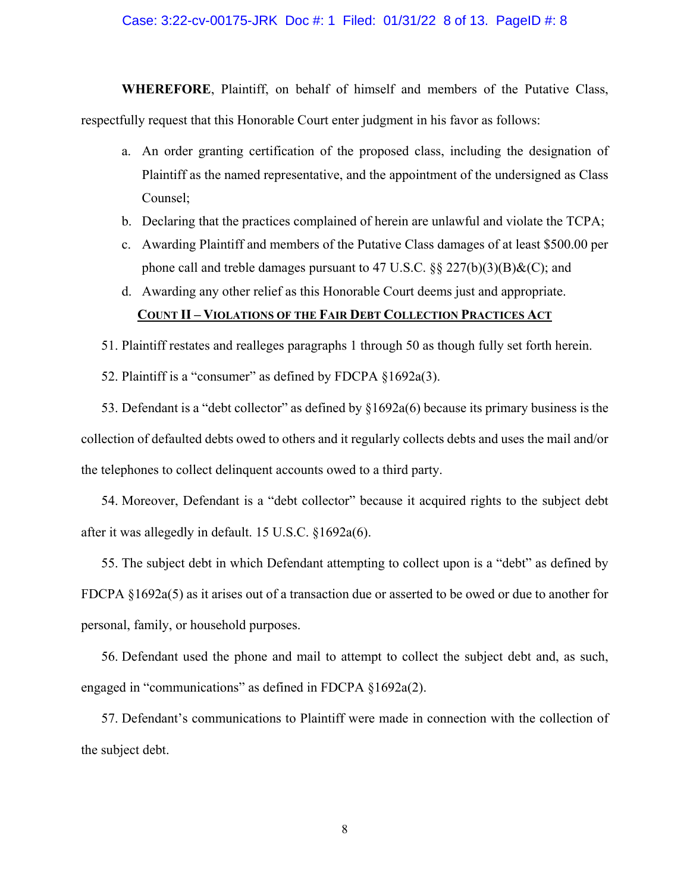# Case: 3:22-cv-00175-JRK Doc #: 1 Filed: 01/31/22 8 of 13. PageID #: 8

**WHEREFORE**, Plaintiff, on behalf of himself and members of the Putative Class, respectfully request that this Honorable Court enter judgment in his favor as follows:

- a. An order granting certification of the proposed class, including the designation of Plaintiff as the named representative, and the appointment of the undersigned as Class Counsel;
- b. Declaring that the practices complained of herein are unlawful and violate the TCPA;
- c. Awarding Plaintiff and members of the Putative Class damages of at least \$500.00 per phone call and treble damages pursuant to 47 U.S.C.  $\S$ § 227(b)(3)(B)&(C); and
- d. Awarding any other relief as this Honorable Court deems just and appropriate.

# **COUNT II – VIOLATIONS OF THE FAIR DEBT COLLECTION PRACTICES ACT**

51. Plaintiff restates and realleges paragraphs 1 through 50 as though fully set forth herein.

52. Plaintiff is a "consumer" as defined by FDCPA §1692a(3).

53. Defendant is a "debt collector" as defined by §1692a(6) because its primary business is the collection of defaulted debts owed to others and it regularly collects debts and uses the mail and/or the telephones to collect delinquent accounts owed to a third party.

54. Moreover, Defendant is a "debt collector" because it acquired rights to the subject debt after it was allegedly in default. 15 U.S.C. §1692a(6).

55. The subject debt in which Defendant attempting to collect upon is a "debt" as defined by FDCPA §1692a(5) as it arises out of a transaction due or asserted to be owed or due to another for personal, family, or household purposes.

56. Defendant used the phone and mail to attempt to collect the subject debt and, as such, engaged in "communications" as defined in FDCPA §1692a(2).

57. Defendant's communications to Plaintiff were made in connection with the collection of the subject debt.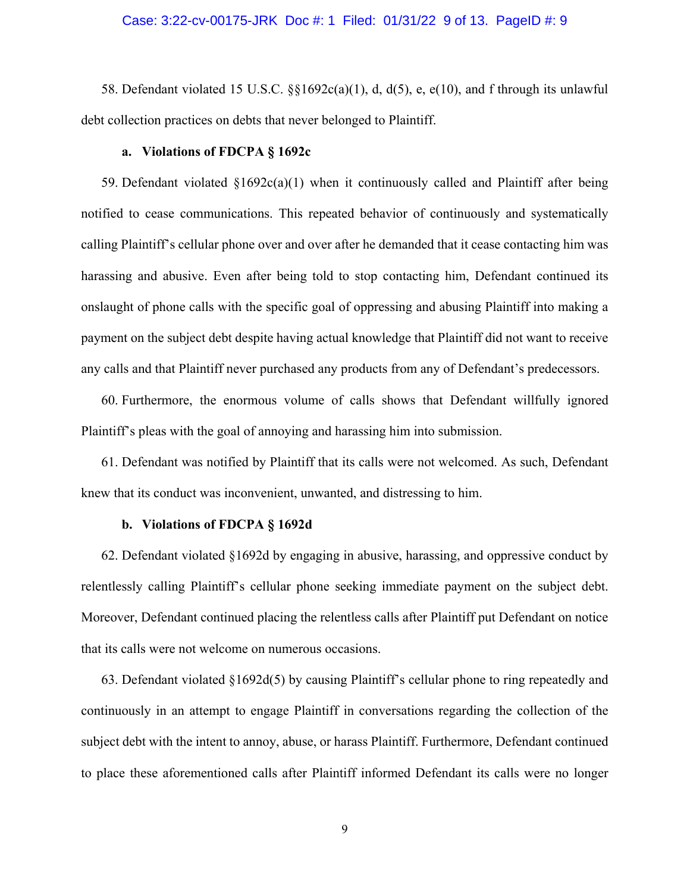### Case: 3:22-cv-00175-JRK Doc #: 1 Filed: 01/31/22 9 of 13. PageID #: 9

58. Defendant violated 15 U.S.C.  $\S$  $1692c(a)(1)$ , d, d(5), e, e(10), and f through its unlawful debt collection practices on debts that never belonged to Plaintiff.

### **a. Violations of FDCPA § 1692c**

59. Defendant violated  $\S1692c(a)(1)$  when it continuously called and Plaintiff after being notified to cease communications. This repeated behavior of continuously and systematically calling Plaintiff's cellular phone over and over after he demanded that it cease contacting him was harassing and abusive. Even after being told to stop contacting him, Defendant continued its onslaught of phone calls with the specific goal of oppressing and abusing Plaintiff into making a payment on the subject debt despite having actual knowledge that Plaintiff did not want to receive any calls and that Plaintiff never purchased any products from any of Defendant's predecessors.

60. Furthermore, the enormous volume of calls shows that Defendant willfully ignored Plaintiff's pleas with the goal of annoying and harassing him into submission.

61. Defendant was notified by Plaintiff that its calls were not welcomed. As such, Defendant knew that its conduct was inconvenient, unwanted, and distressing to him.

### **b. Violations of FDCPA § 1692d**

62. Defendant violated §1692d by engaging in abusive, harassing, and oppressive conduct by relentlessly calling Plaintiff's cellular phone seeking immediate payment on the subject debt. Moreover, Defendant continued placing the relentless calls after Plaintiff put Defendant on notice that its calls were not welcome on numerous occasions.

63. Defendant violated §1692d(5) by causing Plaintiff's cellular phone to ring repeatedly and continuously in an attempt to engage Plaintiff in conversations regarding the collection of the subject debt with the intent to annoy, abuse, or harass Plaintiff. Furthermore, Defendant continued to place these aforementioned calls after Plaintiff informed Defendant its calls were no longer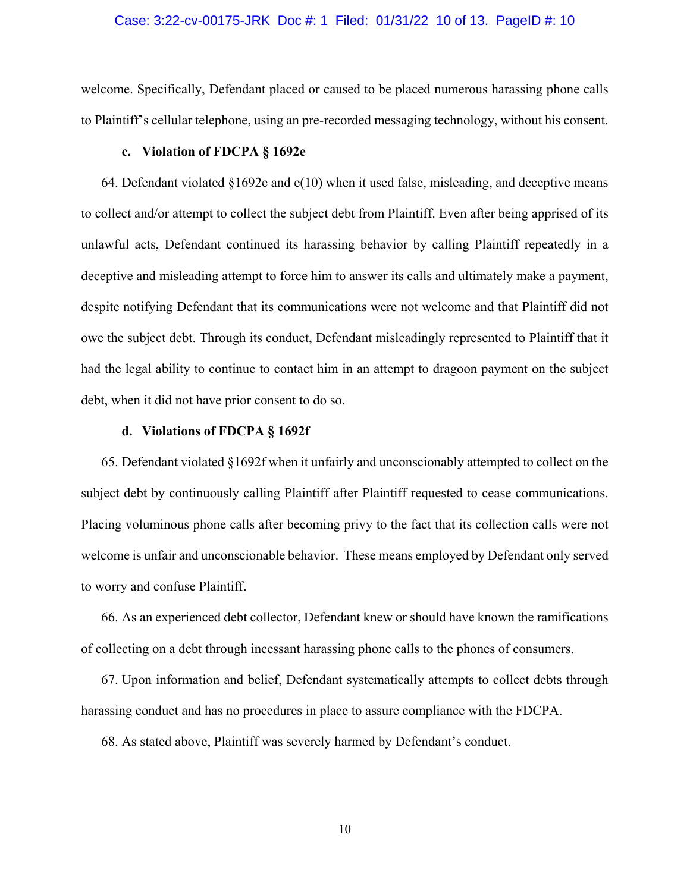### Case: 3:22-cv-00175-JRK Doc #: 1 Filed: 01/31/22 10 of 13. PageID #: 10

welcome. Specifically, Defendant placed or caused to be placed numerous harassing phone calls to Plaintiff's cellular telephone, using an pre-recorded messaging technology, without his consent.

### **c. Violation of FDCPA § 1692e**

64. Defendant violated  $\S1692e$  and  $e(10)$  when it used false, misleading, and deceptive means to collect and/or attempt to collect the subject debt from Plaintiff. Even after being apprised of its unlawful acts, Defendant continued its harassing behavior by calling Plaintiff repeatedly in a deceptive and misleading attempt to force him to answer its calls and ultimately make a payment, despite notifying Defendant that its communications were not welcome and that Plaintiff did not owe the subject debt. Through its conduct, Defendant misleadingly represented to Plaintiff that it had the legal ability to continue to contact him in an attempt to dragoon payment on the subject debt, when it did not have prior consent to do so.

# **d. Violations of FDCPA § 1692f**

65. Defendant violated §1692f when it unfairly and unconscionably attempted to collect on the subject debt by continuously calling Plaintiff after Plaintiff requested to cease communications. Placing voluminous phone calls after becoming privy to the fact that its collection calls were not welcome is unfair and unconscionable behavior. These means employed by Defendant only served to worry and confuse Plaintiff.

66. As an experienced debt collector, Defendant knew or should have known the ramifications of collecting on a debt through incessant harassing phone calls to the phones of consumers.

67. Upon information and belief, Defendant systematically attempts to collect debts through harassing conduct and has no procedures in place to assure compliance with the FDCPA.

68. As stated above, Plaintiff was severely harmed by Defendant's conduct.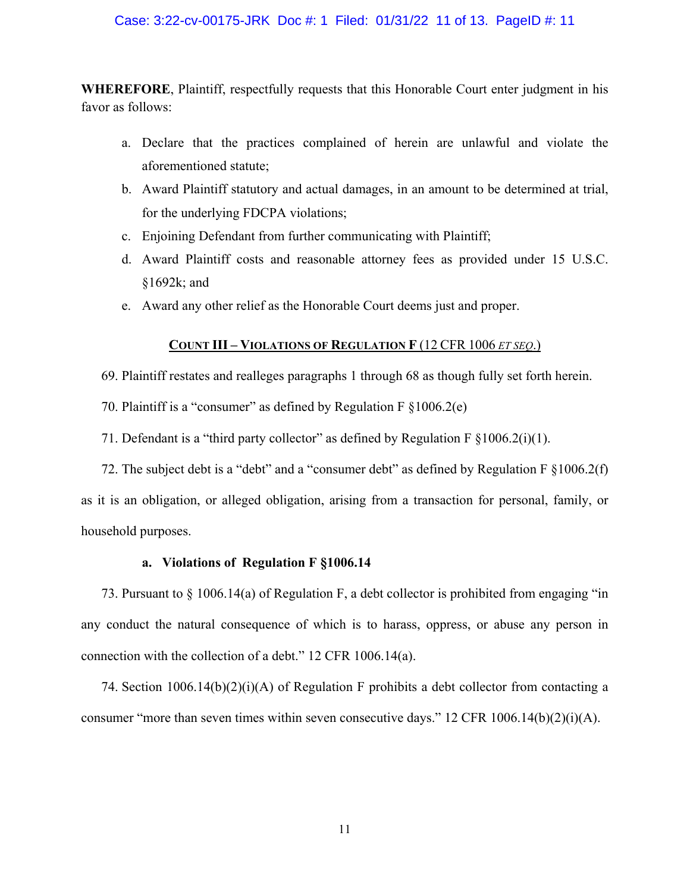### Case: 3:22-cv-00175-JRK Doc #: 1 Filed: 01/31/22 11 of 13. PageID #: 11

**WHEREFORE**, Plaintiff, respectfully requests that this Honorable Court enter judgment in his favor as follows:

- a. Declare that the practices complained of herein are unlawful and violate the aforementioned statute;
- b. Award Plaintiff statutory and actual damages, in an amount to be determined at trial, for the underlying FDCPA violations;
- c. Enjoining Defendant from further communicating with Plaintiff;
- d. Award Plaintiff costs and reasonable attorney fees as provided under 15 U.S.C. §1692k; and
- e. Award any other relief as the Honorable Court deems just and proper.

# **COUNT III – VIOLATIONS OF REGULATION F** (12 CFR 1006 *ET SEQ*.)

- 69. Plaintiff restates and realleges paragraphs 1 through 68 as though fully set forth herein.
- 70. Plaintiff is a "consumer" as defined by Regulation F §1006.2(e)
- 71. Defendant is a "third party collector" as defined by Regulation  $F \S 1006.2(i)(1)$ .
- 72. The subject debt is a "debt" and a "consumer debt" as defined by Regulation F §1006.2(f)

as it is an obligation, or alleged obligation, arising from a transaction for personal, family, or household purposes.

#### **a. Violations of Regulation F §1006.14**

73. Pursuant to § 1006.14(a) of Regulation F, a debt collector is prohibited from engaging "in any conduct the natural consequence of which is to harass, oppress, or abuse any person in connection with the collection of a debt." 12 CFR 1006.14(a).

74. Section 1006.14(b)(2)(i)(A) of Regulation F prohibits a debt collector from contacting a consumer "more than seven times within seven consecutive days." 12 CFR 1006.14(b)(2)(i)(A).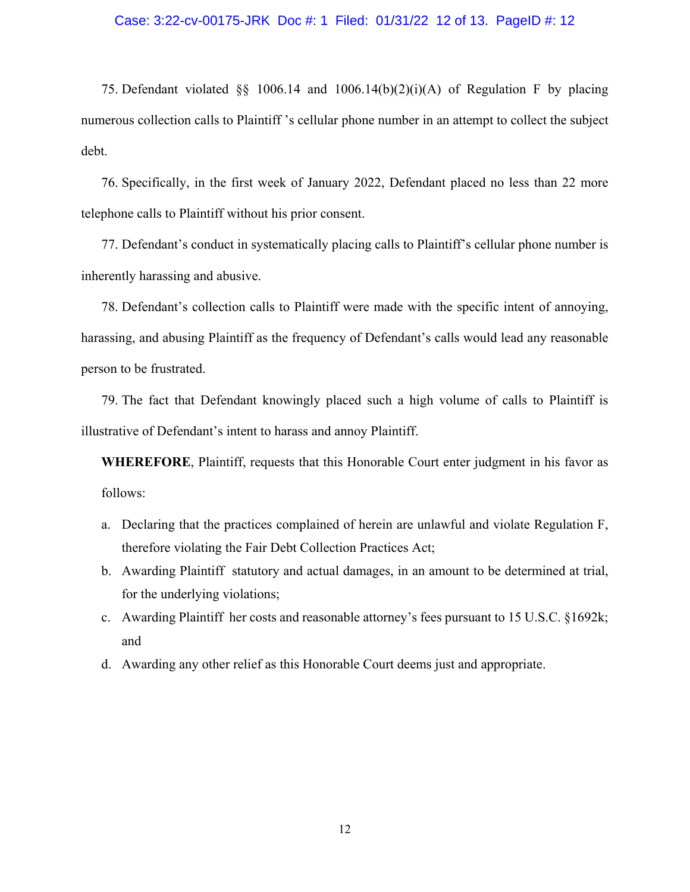#### Case: 3:22-cv-00175-JRK Doc #: 1 Filed: 01/31/22 12 of 13. PageID #: 12

75. Defendant violated  $\S$ § 1006.14 and 1006.14(b)(2)(i)(A) of Regulation F by placing numerous collection calls to Plaintiff 's cellular phone number in an attempt to collect the subject debt.

76. Specifically, in the first week of January 2022, Defendant placed no less than 22 more telephone calls to Plaintiff without his prior consent.

77. Defendant's conduct in systematically placing calls to Plaintiff's cellular phone number is inherently harassing and abusive.

78. Defendant's collection calls to Plaintiff were made with the specific intent of annoying, harassing, and abusing Plaintiff as the frequency of Defendant's calls would lead any reasonable person to be frustrated.

79. The fact that Defendant knowingly placed such a high volume of calls to Plaintiff is illustrative of Defendant's intent to harass and annoy Plaintiff.

**WHEREFORE**, Plaintiff, requests that this Honorable Court enter judgment in his favor as follows:

- a. Declaring that the practices complained of herein are unlawful and violate Regulation F, therefore violating the Fair Debt Collection Practices Act;
- b. Awarding Plaintiff statutory and actual damages, in an amount to be determined at trial, for the underlying violations;
- c. Awarding Plaintiff her costs and reasonable attorney's fees pursuant to 15 U.S.C. §1692k; and
- d. Awarding any other relief as this Honorable Court deems just and appropriate.